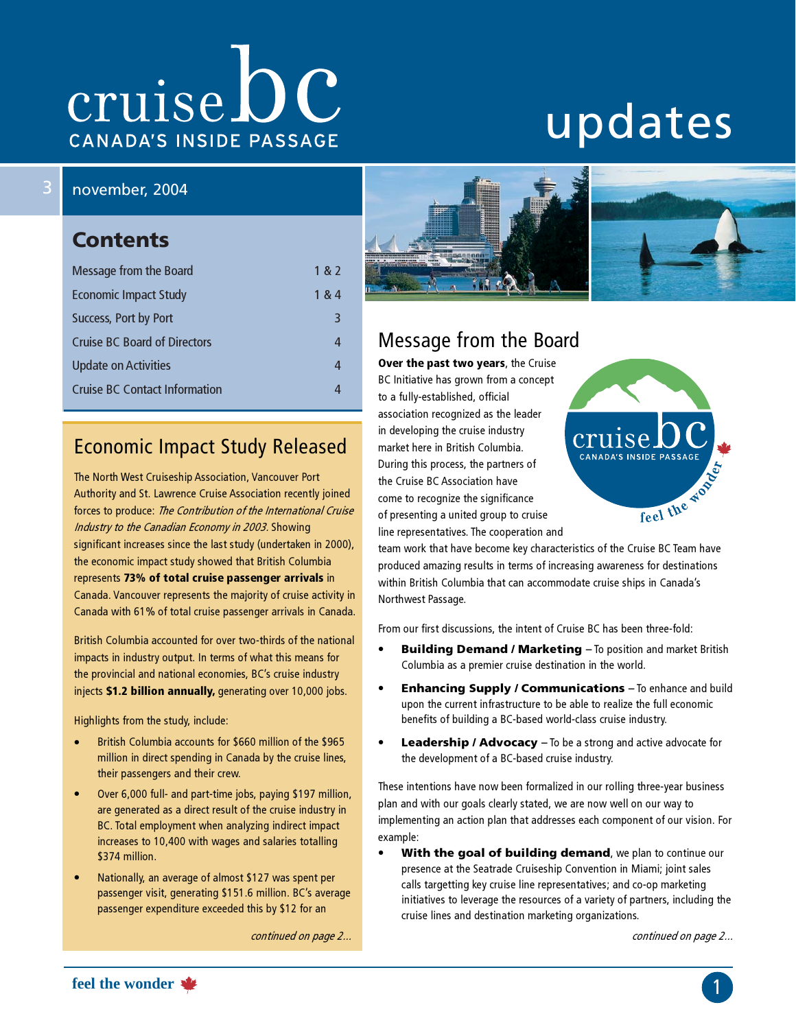# cruise DC CANADA'S INSIDE PASSAGE

# updates

### 3 november, 2004

### **Contents**

| Message from the Board               | 1 & 2 |
|--------------------------------------|-------|
| <b>Economic Impact Study</b>         | 1 & 4 |
| Success, Port by Port                | 3     |
| <b>Cruise BC Board of Directors</b>  | 4     |
| Update on Activities                 |       |
| <b>Cruise BC Contact Information</b> |       |

# Economic Impact Study Released

The North West Cruiseship Association, Vancouver Port Authority and St. Lawrence Cruise Association recently joined forces to produce: The Contribution of the International Cruise Industry to the Canadian Economy in 2003. Showing significant increases since the last study (undertaken in 2000), the economic impact study showed that British Columbia represents 73% of total cruise passenger arrivals in Canada. Vancouver represents the majority of cruise activity in Canada with 61% of total cruise passenger arrivals in Canada.

British Columbia accounted for over two-thirds of the national impacts in industry output. In terms of what this means for the provincial and national economies, BC's cruise industry injects \$1.2 billion annually, generating over 10,000 jobs.

Highlights from the study, include:

- British Columbia accounts for \$660 million of the \$965 million in direct spending in Canada by the cruise lines, their passengers and their crew.
- Over 6,000 full- and part-time jobs, paying \$197 million, are generated as a direct result of the cruise industry in BC. Total employment when analyzing indirect impact increases to 10,400 with wages and salaries totalling \$374 million.
- Nationally, an average of almost \$127 was spent per passenger visit, generating \$151.6 million. BC's average passenger expenditure exceeded this by \$12 for an

continued on page 2...



# Message from the Board

Over the past two years, the Cruise BC Initiative has grown from a concept to a fully-established, official association recognized as the leader in developing the cruise industry market here in British Columbia. During this process, the partners of the Cruise BC Association have come to recognize the significance of presenting a united group to cruise line representatives. The cooperation and



team work that have become key characteristics of the Cruise BC Team have produced amazing results in terms of increasing awareness for destinations within British Columbia that can accommodate cruise ships in Canada's Northwest Passage.

From our first discussions, the intent of Cruise BC has been three-fold:

- Building Demand / Marketing To position and market British Columbia as a premier cruise destination in the world.
- Enhancing Supply / Communications To enhance and build upon the current infrastructure to be able to realize the full economic benefits of building a BC-based world-class cruise industry.
- Leadership / Advocacy To be a strong and active advocate for the development of a BC-based cruise industry.

These intentions have now been formalized in our rolling three-year business plan and with our goals clearly stated, we are now well on our way to implementing an action plan that addresses each component of our vision. For example:

With the goal of building demand, we plan to continue our presence at the Seatrade Cruiseship Convention in Miami; joint sales calls targetting key cruise line representatives; and co-op marketing initiatives to leverage the resources of a variety of partners, including the cruise lines and destination marketing organizations.

continued on page 2...

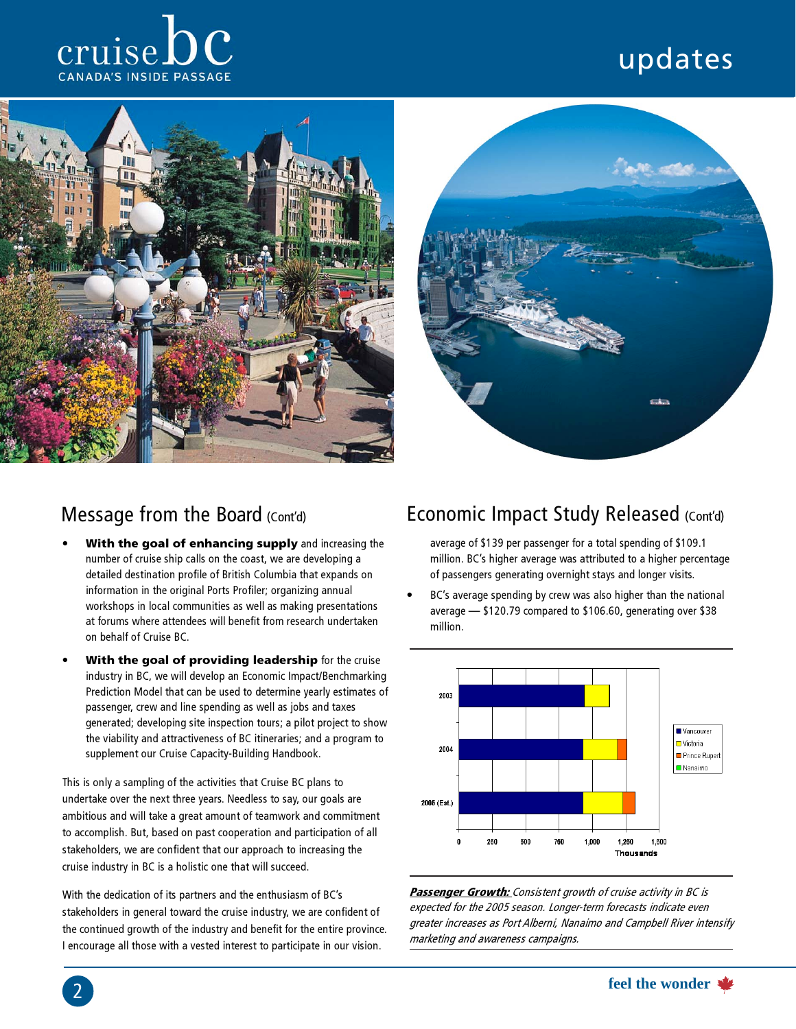# updates







### Message from the Board (Cont'd)

- With the goal of enhancing supply and increasing the number of cruise ship calls on the coast, we are developing a detailed destination profile of British Columbia that expands on information in the original Ports Profiler; organizing annual workshops in local communities as well as making presentations at forums where attendees will benefit from research undertaken on behalf of Cruise BC.
- With the goal of providing leadership for the cruise industry in BC, we will develop an Economic Impact/Benchmarking Prediction Model that can be used to determine yearly estimates of passenger, crew and line spending as well as jobs and taxes generated; developing site inspection tours; a pilot project to show the viability and attractiveness of BC itineraries; and a program to supplement our Cruise Capacity-Building Handbook.

This is only a sampling of the activities that Cruise BC plans to undertake over the next three years. Needless to say, our goals are ambitious and will take a great amount of teamwork and commitment to accomplish. But, based on past cooperation and participation of all stakeholders, we are confident that our approach to increasing the cruise industry in BC is a holistic one that will succeed.

With the dedication of its partners and the enthusiasm of BC's stakeholders in general toward the cruise industry, we are confident of the continued growth of the industry and benefit for the entire province. I encourage all those with a vested interest to participate in our vision.

2

# Economic Impact Study Released (Cont'd)

average of \$139 per passenger for a total spending of \$109.1 million. BC's higher average was attributed to a higher percentage of passengers generating overnight stays and longer visits.

 BC's average spending by crew was also higher than the national average — \$120.79 compared to \$106.60, generating over \$38 million.



Passenger Growth: Consistent growth of cruise activity in BC is expected for the 2005 season. Longer-term forecasts indicate even greater increases as Port Alberni, Nanaimo and Campbell River intensify marketing and awareness campaigns.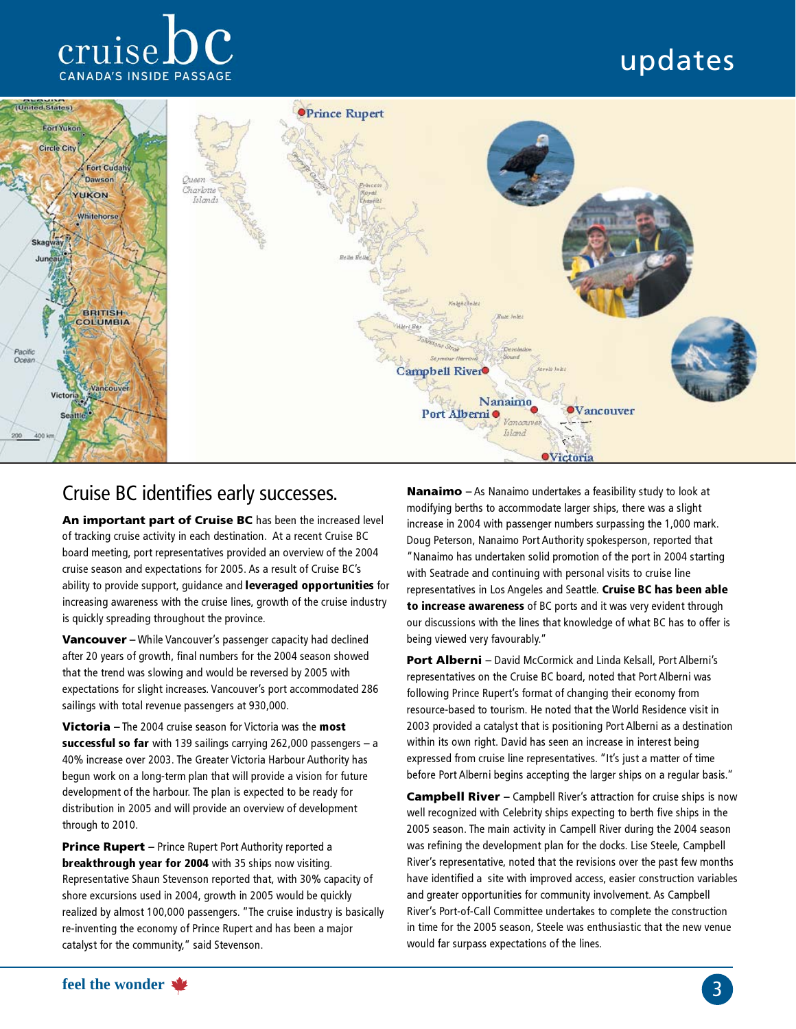# cruise CANADA'S INSIDE PASSAGE

# updates



## Cruise BC identifies early successes.

An important part of Cruise BC has been the increased level of tracking cruise activity in each destination. At a recent Cruise BC board meeting, port representatives provided an overview of the 2004 cruise season and expectations for 2005. As a result of Cruise BC's ability to provide support, guidance and leveraged opportunities for increasing awareness with the cruise lines, growth of the cruise industry is quickly spreading throughout the province.

Vancouver – While Vancouver's passenger capacity had declined after 20 years of growth, final numbers for the 2004 season showed that the trend was slowing and would be reversed by 2005 with expectations for slight increases. Vancouver's port accommodated 286 sailings with total revenue passengers at 930,000.

Victoria – The 2004 cruise season for Victoria was the most successful so far with 139 sailings carrying 262,000 passengers  $-$  a 40% increase over 2003. The Greater Victoria Harbour Authority has begun work on a long-term plan that will provide a vision for future development of the harbour. The plan is expected to be ready for distribution in 2005 and will provide an overview of development through to 2010.

**Prince Rupert** – Prince Rupert Port Authority reported a breakthrough year for 2004 with 35 ships now visiting. Representative Shaun Stevenson reported that, with 30% capacity of shore excursions used in 2004, growth in 2005 would be quickly realized by almost 100,000 passengers. "The cruise industry is basically re-inventing the economy of Prince Rupert and has been a major catalyst for the community," said Stevenson.

Nanaimo – As Nanaimo undertakes a feasibility study to look at modifying berths to accommodate larger ships, there was a slight increase in 2004 with passenger numbers surpassing the 1,000 mark. Doug Peterson, Nanaimo Port Authority spokesperson, reported that "Nanaimo has undertaken solid promotion of the port in 2004 starting with Seatrade and continuing with personal visits to cruise line representatives in Los Angeles and Seattle. Cruise BC has been able to increase awareness of BC ports and it was very evident through our discussions with the lines that knowledge of what BC has to offer is being viewed very favourably."

**Port Alberni** – David McCormick and Linda Kelsall, Port Alberni's representatives on the Cruise BC board, noted that Port Alberni was following Prince Rupert's format of changing their economy from resource-based to tourism. He noted that the World Residence visit in 2003 provided a catalyst that is positioning Port Alberni as a destination within its own right. David has seen an increase in interest being expressed from cruise line representatives. "It's just a matter of time before Port Alberni begins accepting the larger ships on a regular basis."

Campbell River – Campbell River's attraction for cruise ships is now well recognized with Celebrity ships expecting to berth five ships in the 2005 season. The main activity in Campell River during the 2004 season was refining the development plan for the docks. Lise Steele, Campbell River's representative, noted that the revisions over the past few months have identified a site with improved access, easier construction variables and greater opportunities for community involvement. As Campbell River's Port-of-Call Committee undertakes to complete the construction in time for the 2005 season, Steele was enthusiastic that the new venue would far surpass expectations of the lines.